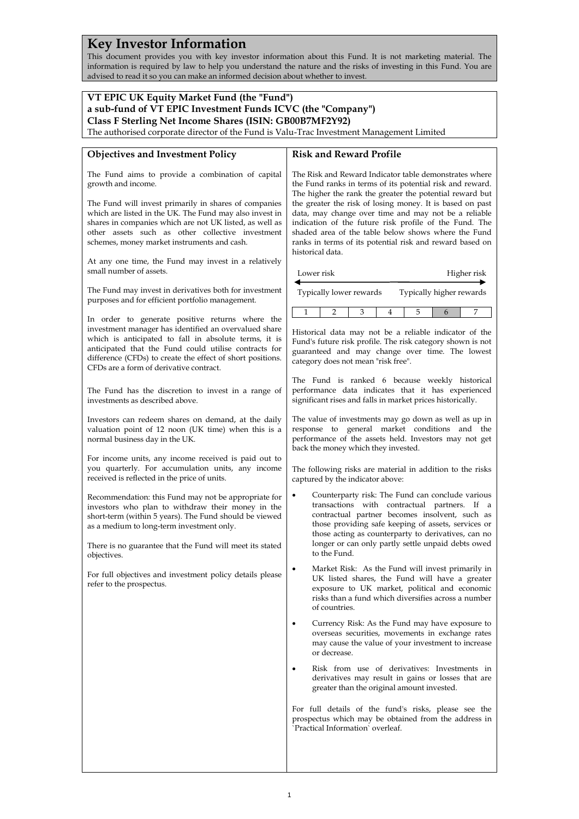## **Key Investor Information**

This document provides you with key investor information about this Fund. It is not marketing material. The information is required by law to help you understand the nature and the risks of investing in this Fund. You are advised to read it so you can make an informed decision about whether to invest.

| VT EPIC UK Equity Market Fund (the "Fund")                                                                                                                                                                                                                                       |                                                                                                                                                                                                                                                                                                                    |  |  |
|----------------------------------------------------------------------------------------------------------------------------------------------------------------------------------------------------------------------------------------------------------------------------------|--------------------------------------------------------------------------------------------------------------------------------------------------------------------------------------------------------------------------------------------------------------------------------------------------------------------|--|--|
| a sub-fund of VT EPIC Investment Funds ICVC (the "Company")                                                                                                                                                                                                                      |                                                                                                                                                                                                                                                                                                                    |  |  |
| Class F Sterling Net Income Shares (ISIN: GB00B7MF2Y92)                                                                                                                                                                                                                          |                                                                                                                                                                                                                                                                                                                    |  |  |
| The authorised corporate director of the Fund is Valu-Trac Investment Management Limited                                                                                                                                                                                         |                                                                                                                                                                                                                                                                                                                    |  |  |
|                                                                                                                                                                                                                                                                                  |                                                                                                                                                                                                                                                                                                                    |  |  |
| <b>Objectives and Investment Policy</b>                                                                                                                                                                                                                                          | <b>Risk and Reward Profile</b>                                                                                                                                                                                                                                                                                     |  |  |
|                                                                                                                                                                                                                                                                                  |                                                                                                                                                                                                                                                                                                                    |  |  |
| The Fund aims to provide a combination of capital<br>growth and income.                                                                                                                                                                                                          | The Risk and Reward Indicator table demonstrates where<br>the Fund ranks in terms of its potential risk and reward.<br>The higher the rank the greater the potential reward but                                                                                                                                    |  |  |
| The Fund will invest primarily in shares of companies<br>which are listed in the UK. The Fund may also invest in<br>shares in companies which are not UK listed, as well as<br>other assets such as other collective investment<br>schemes, money market instruments and cash.   | the greater the risk of losing money. It is based on past<br>data, may change over time and may not be a reliable<br>indication of the future risk profile of the Fund. The<br>shaded area of the table below shows where the Fund<br>ranks in terms of its potential risk and reward based on<br>historical data. |  |  |
| At any one time, the Fund may invest in a relatively<br>small number of assets.                                                                                                                                                                                                  | Lower risk<br>Higher risk                                                                                                                                                                                                                                                                                          |  |  |
| The Fund may invest in derivatives both for investment<br>purposes and for efficient portfolio management.                                                                                                                                                                       | Typically lower rewards<br>Typically higher rewards                                                                                                                                                                                                                                                                |  |  |
| In order to generate positive returns where the                                                                                                                                                                                                                                  | 5<br>7<br>$\mathbf{1}$<br>2<br>3<br>6<br>4                                                                                                                                                                                                                                                                         |  |  |
| investment manager has identified an overvalued share<br>which is anticipated to fall in absolute terms, it is<br>anticipated that the Fund could utilise contracts for<br>difference (CFDs) to create the effect of short positions.<br>CFDs are a form of derivative contract. | Historical data may not be a reliable indicator of the<br>Fund's future risk profile. The risk category shown is not<br>guaranteed and may change over time. The lowest<br>category does not mean "risk free".                                                                                                     |  |  |
| The Fund has the discretion to invest in a range of<br>investments as described above.                                                                                                                                                                                           | The Fund is ranked 6 because weekly historical<br>performance data indicates that it has experienced<br>significant rises and falls in market prices historically.                                                                                                                                                 |  |  |
| Investors can redeem shares on demand, at the daily<br>valuation point of 12 noon (UK time) when this is a<br>normal business day in the UK.                                                                                                                                     | The value of investments may go down as well as up in<br>response to general market conditions and the<br>performance of the assets held. Investors may not get<br>back the money which they invested.                                                                                                             |  |  |
| For income units, any income received is paid out to<br>you quarterly. For accumulation units, any income<br>received is reflected in the price of units.                                                                                                                        | The following risks are material in addition to the risks<br>captured by the indicator above:                                                                                                                                                                                                                      |  |  |
| Recommendation: this Fund may not be appropriate for<br>investors who plan to withdraw their money in the<br>short-term (within 5 years). The Fund should be viewed<br>as a medium to long-term investment only.                                                                 | Counterparty risk: The Fund can conclude various<br>transactions with contractual partners. If a<br>contractual partner becomes insolvent, such as<br>those providing safe keeping of assets, services or<br>those acting as counterparty to derivatives, can no                                                   |  |  |
| There is no guarantee that the Fund will meet its stated<br>objectives.                                                                                                                                                                                                          | longer or can only partly settle unpaid debts owed<br>to the Fund.                                                                                                                                                                                                                                                 |  |  |
| For full objectives and investment policy details please<br>refer to the prospectus.                                                                                                                                                                                             | Market Risk: As the Fund will invest primarily in<br>UK listed shares, the Fund will have a greater<br>exposure to UK market, political and economic<br>risks than a fund which diversifies across a number<br>of countries.                                                                                       |  |  |
|                                                                                                                                                                                                                                                                                  | Currency Risk: As the Fund may have exposure to<br>٠<br>overseas securities, movements in exchange rates<br>may cause the value of your investment to increase<br>or decrease.                                                                                                                                     |  |  |
|                                                                                                                                                                                                                                                                                  | Risk from use of derivatives: Investments in<br>٠<br>derivatives may result in gains or losses that are<br>greater than the original amount invested.                                                                                                                                                              |  |  |
|                                                                                                                                                                                                                                                                                  | For full details of the fund's risks, please see the<br>prospectus which may be obtained from the address in<br>'Practical Information' overleaf.                                                                                                                                                                  |  |  |
|                                                                                                                                                                                                                                                                                  |                                                                                                                                                                                                                                                                                                                    |  |  |